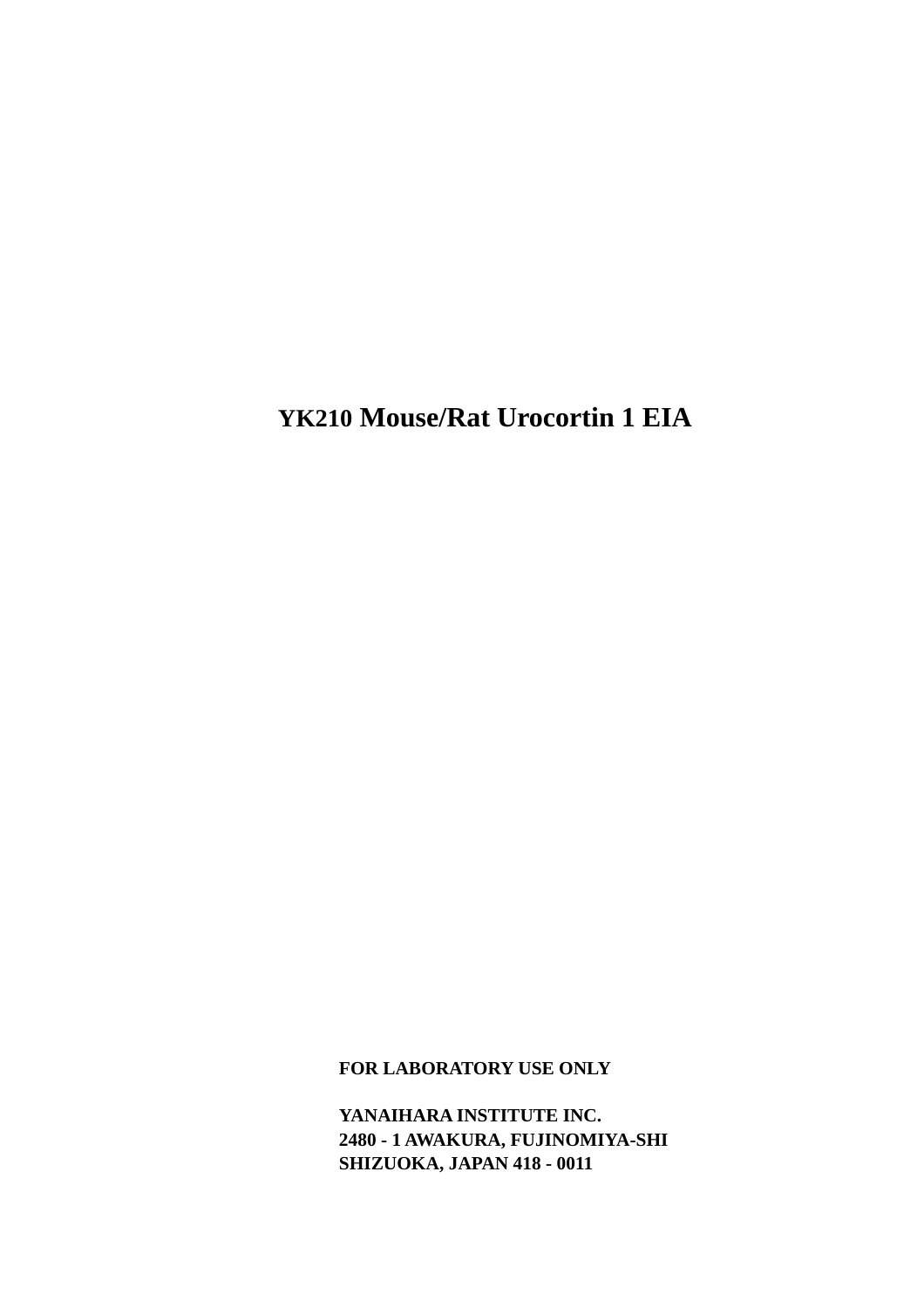**YK210 Mouse/Rat Urocortin 1 EIA** 

**FOR LABORATORY USE ONLY** 

**YANAIHARA INSTITUTE INC. 2480 - 1 AWAKURA, FUJINOMIYA-SHI SHIZUOKA, JAPAN 418 - 0011**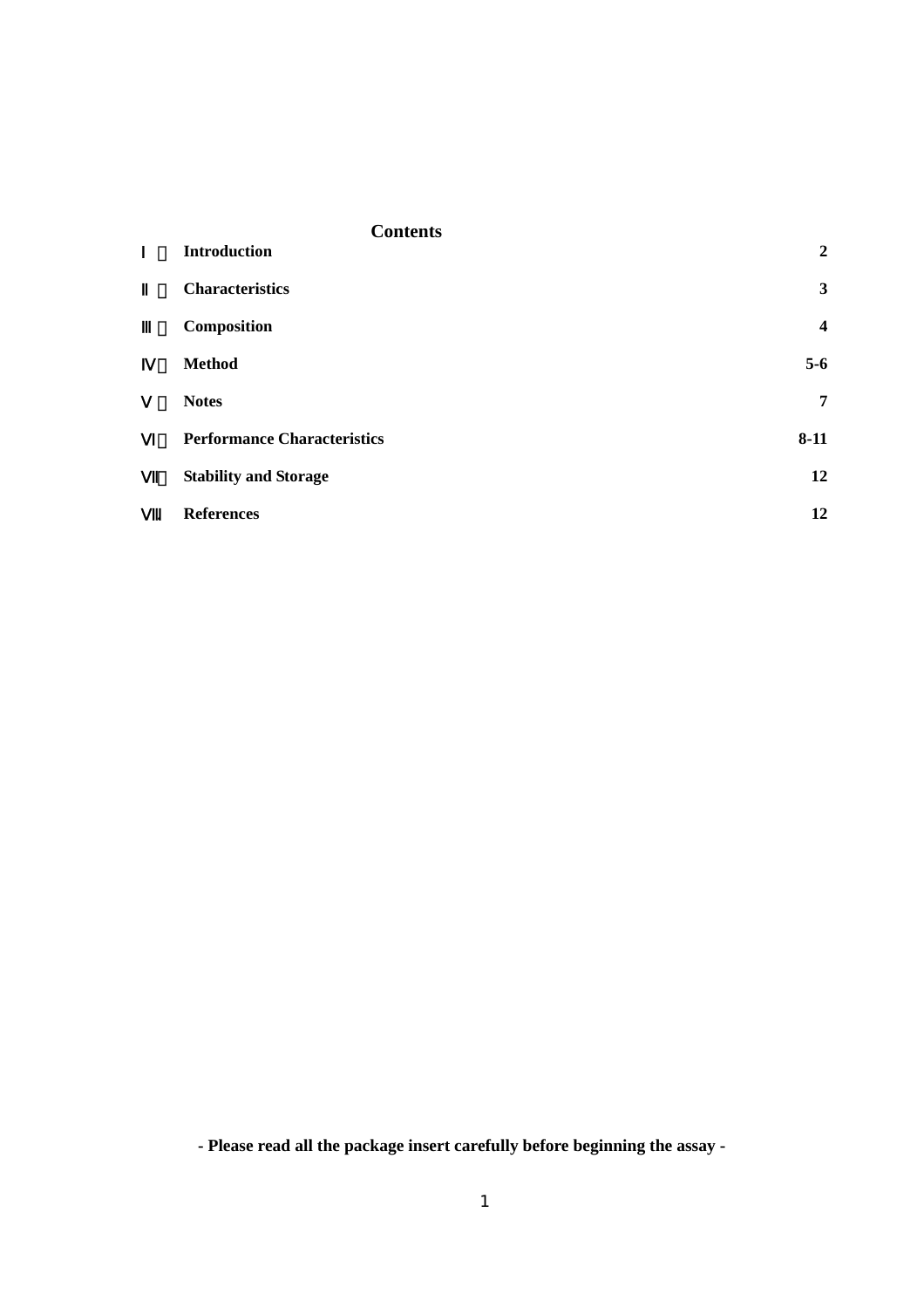|           | <b>Contents</b>                    |                         |
|-----------|------------------------------------|-------------------------|
|           | <b>Introduction</b>                | $\overline{2}$          |
|           | <b>Characteristics</b>             | 3                       |
|           | Composition                        | $\overline{\mathbf{4}}$ |
|           | <b>Method</b>                      | $5-6$                   |
|           | <b>Notes</b>                       | 7                       |
|           | <b>Performance Characteristics</b> | $8 - 11$                |
|           | <b>Stability and Storage</b>       | 12                      |
| $\bullet$ | <b>References</b>                  | 12                      |

**- Please read all the package insert carefully before beginning the assay -**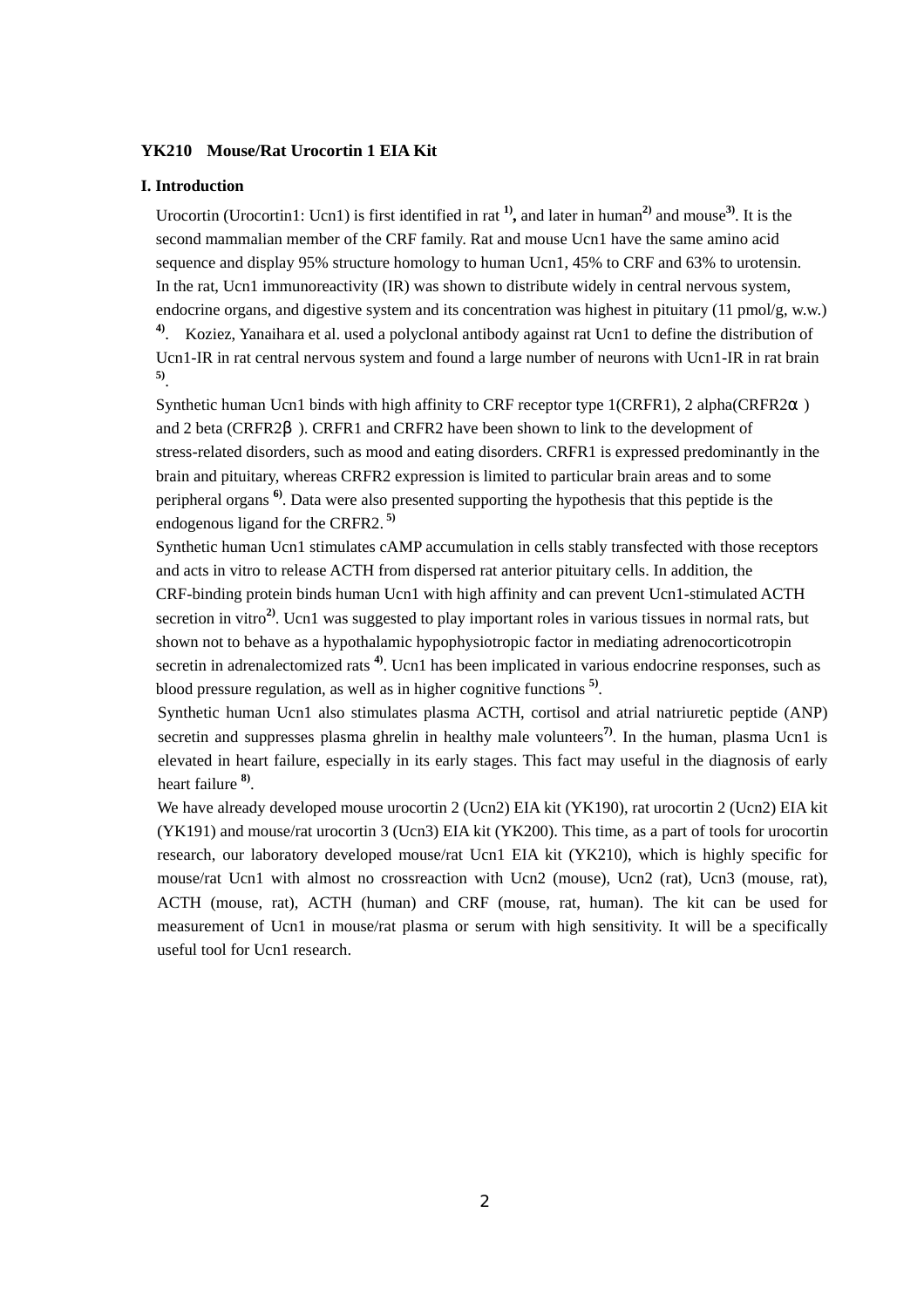# **YK210 Mouse/Rat Urocortin 1 EIA Kit**

#### **I. Introduction**

Urocortin (Urocortin1: Ucn1) is first identified in rat **1),** and later in human**2)** and mouse**3)**. It is the second mammalian member of the CRF family. Rat and mouse Ucn1 have the same amino acid sequence and display 95% structure homology to human Ucn1, 45% to CRF and 63% to urotensin. In the rat, Ucn1 immunoreactivity (IR) was shown to distribute widely in central nervous system, endocrine organs, and digestive system and its concentration was highest in pituitary (11 pmol/g, w.w.) **4)**. Koziez, Yanaihara et al. used a polyclonal antibody against rat Ucn1 to define the distribution of Ucn1-IR in rat central nervous system and found a large number of neurons with Ucn1-IR in rat brain **5)**.

Synthetic human Ucn1 binds with high affinity to CRF receptor type 1(CRFR1), 2 alpha(CRFR2 ) and 2 beta (CRFR2 ). CRFR1 and CRFR2 have been shown to link to the development of stress-related disorders, such as mood and eating disorders. CRFR1 is expressed predominantly in the brain and pituitary, whereas CRFR2 expression is limited to particular brain areas and to some peripheral organs **6)**. Data were also presented supporting the hypothesis that this peptide is the endogenous ligand for the CRFR2.<sup>5)</sup>

Synthetic human Ucn1 stimulates cAMP accumulation in cells stably transfected with those receptors and acts in vitro to release ACTH from dispersed rat anterior pituitary cells. In addition, the CRF-binding protein binds human Ucn1 with high affinity and can prevent Ucn1-stimulated ACTH secretion in vitro<sup>2</sup>. Ucn1 was suggested to play important roles in various tissues in normal rats, but shown not to behave as a hypothalamic hypophysiotropic factor in mediating adrenocorticotropin secretin in adrenalectomized rats<sup>4)</sup>. Ucn1 has been implicated in various endocrine responses, such as blood pressure regulation, as well as in higher cognitive functions **5)**.

Synthetic human Ucn1 also stimulates plasma ACTH, cortisol and atrial natriuretic peptide (ANP) secretin and suppresses plasma ghrelin in healthy male volunteers<sup>7</sup>. In the human, plasma Ucn1 is elevated in heart failure, especially in its early stages. This fact may useful in the diagnosis of early heart failure **8)**.

We have already developed mouse urocortin 2 (Ucn2) EIA kit (YK190), rat urocortin 2 (Ucn2) EIA kit (YK191) and mouse/rat urocortin 3 (Ucn3) EIA kit (YK200). This time, as a part of tools for urocortin research, our laboratory developed mouse/rat Ucn1 EIA kit (YK210), which is highly specific for mouse/rat Ucn1 with almost no crossreaction with Ucn2 (mouse), Ucn2 (rat), Ucn3 (mouse, rat), ACTH (mouse, rat), ACTH (human) and CRF (mouse, rat, human). The kit can be used for measurement of Ucn1 in mouse/rat plasma or serum with high sensitivity. It will be a specifically useful tool for Ucn1 research.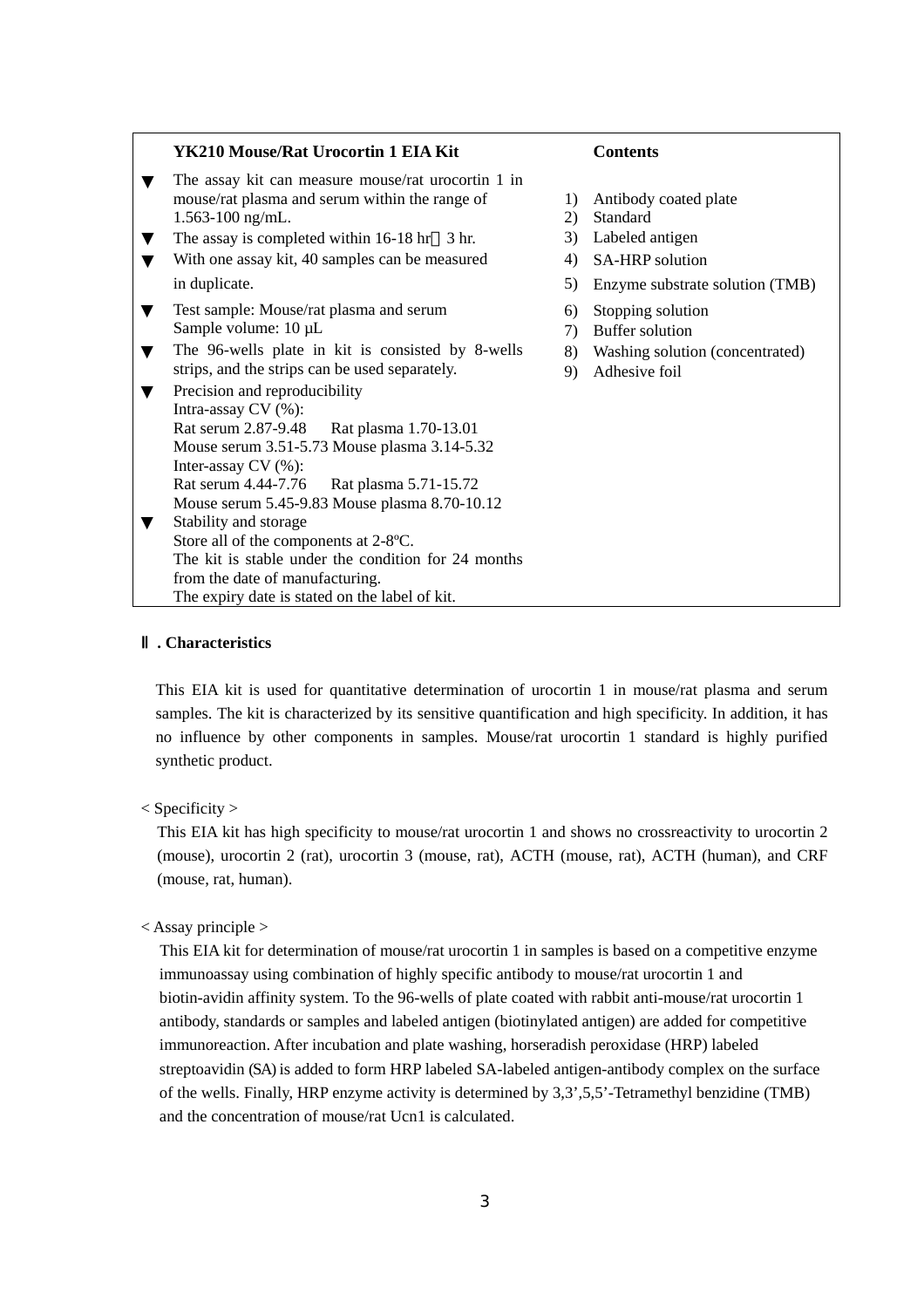#### **YK210 Mouse/Rat Urocortin 1 EIA Kit** Contents

The assay kit can measure mouse/rat urocortin 1 in mouse/rat plasma and serum within the range of 1) Antibody coated plate 1.563-100 ng/mL. 2) Standard The assay is completed within 16-18 hr 3 hr. 3) Labeled antigen

With one assay kit,  $40$  samples can be measured  $4)$  SA-HRP solution

Test sample: Mouse/rat plasma and serum 6) Stopping solution Sample volume:  $10 \mu L$  7) Buffer solution The 96-wells plate in kit is consisted by 8-wells  $\qquad$  8) Washing solution (concentrated) strips, and the strips can be used separately. 9) Adhesive foil Precision and reproducibility Intra-assay CV (%): Rat serum 2.87-9.48 Rat plasma 1.70-13.01 Mouse serum 3.51-5.73 Mouse plasma 3.14-5.32 Inter-assay CV (%): Rat serum 4.44-7.76 Rat plasma 5.71-15.72 Mouse serum 5.45-9.83 Mouse plasma 8.70-10.12 Stability and storage Store all of the components at 2-8ºC.

The kit is stable under the condition for 24 months from the date of manufacturing.

The expiry date is stated on the label of kit.

- 
- 
- 
- 
- in duplicate. 5) Enzyme substrate solution (TMB)
	-
	-
	-
	-

# Ⅱ**. Characteristics**

This EIA kit is used for quantitative determination of urocortin 1 in mouse/rat plasma and serum samples. The kit is characterized by its sensitive quantification and high specificity. In addition, it has no influence by other components in samples. Mouse/rat urocortin 1 standard is highly purified synthetic product.

 $<$  Specificity  $>$ 

This EIA kit has high specificity to mouse/rat urocortin 1 and shows no crossreactivity to urocortin 2 (mouse), urocortin 2 (rat), urocortin 3 (mouse, rat), ACTH (mouse, rat), ACTH (human), and CRF (mouse, rat, human).

< Assay principle >

This EIA kit for determination of mouse/rat urocortin 1 in samples is based on a competitive enzyme immunoassay using combination of highly specific antibody to mouse/rat urocortin 1 and biotin-avidin affinity system. To the 96-wells of plate coated with rabbit anti-mouse/rat urocortin 1 antibody, standards or samples and labeled antigen (biotinylated antigen) are added for competitive immunoreaction. After incubation and plate washing, horseradish peroxidase (HRP) labeled streptoavidin (SA) is added to form HRP labeled SA-labeled antigen-antibody complex on the surface of the wells. Finally, HRP enzyme activity is determined by 3,3',5,5'-Tetramethyl benzidine (TMB) and the concentration of mouse/rat Ucn1 is calculated.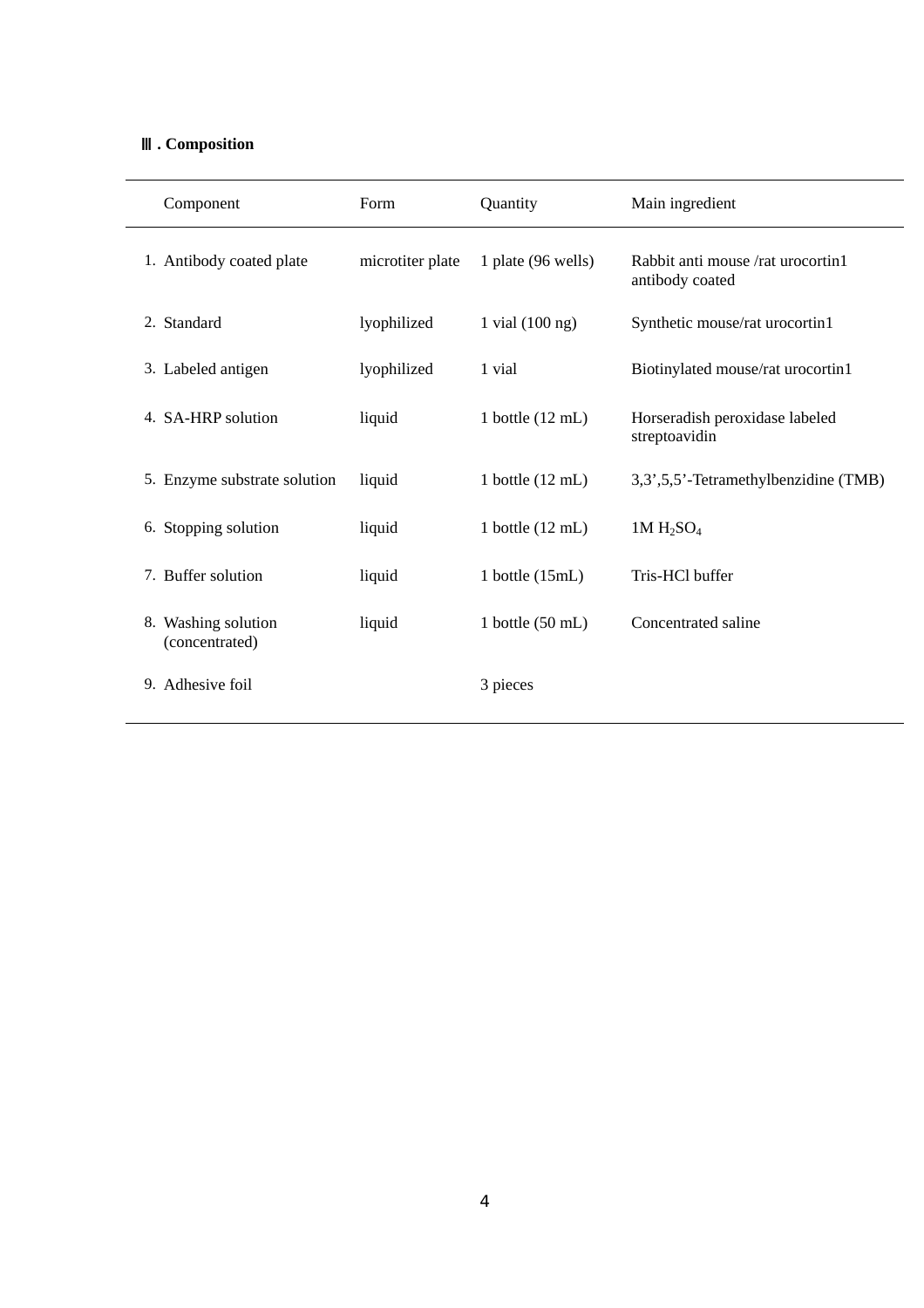# Ⅲ**. Composition**

| Component                             | Form             | Quantity                   | Main ingredient                                      |
|---------------------------------------|------------------|----------------------------|------------------------------------------------------|
| 1. Antibody coated plate              | microtiter plate | 1 plate (96 wells)         | Rabbit anti mouse /rat urocortin1<br>antibody coated |
| 2. Standard                           | lyophilized      | 1 vial $(100 \text{ ng})$  | Synthetic mouse/rat urocortin1                       |
| 3. Labeled antigen                    | lyophilized      | 1 vial                     | Biotinylated mouse/rat urocortin1                    |
| 4. SA-HRP solution                    | liquid           | 1 bottle $(12 \text{ mL})$ | Horseradish peroxidase labeled<br>streptoavidin      |
| 5. Enzyme substrate solution          | liquid           | 1 bottle $(12 \text{ mL})$ | 3,3',5,5'-Tetramethylbenzidine (TMB)                 |
| 6. Stopping solution                  | liquid           | 1 bottle $(12 \text{ mL})$ | $1M H_2SO_4$                                         |
| 7. Buffer solution                    | liquid           | 1 bottle $(15mL)$          | Tris-HCl buffer                                      |
| 8. Washing solution<br>(concentrated) | liquid           | 1 bottle $(50 \text{ mL})$ | Concentrated saline                                  |
| 9. Adhesive foil                      |                  | 3 pieces                   |                                                      |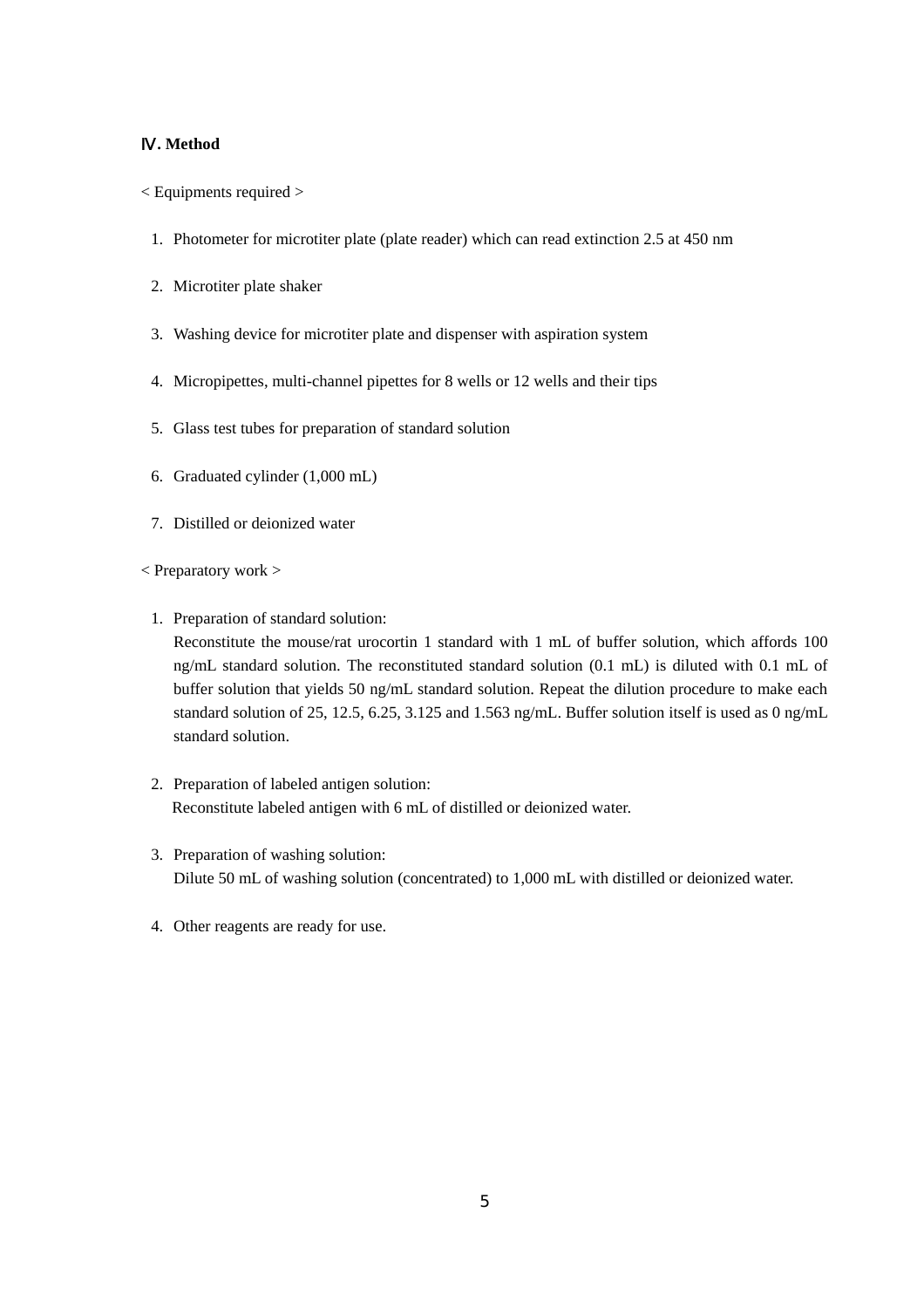### Ⅳ**. Method**

- < Equipments required >
	- 1. Photometer for microtiter plate (plate reader) which can read extinction 2.5 at 450 nm
	- 2. Microtiter plate shaker
	- 3. Washing device for microtiter plate and dispenser with aspiration system
	- 4. Micropipettes, multi-channel pipettes for 8 wells or 12 wells and their tips
	- 5. Glass test tubes for preparation of standard solution
	- 6. Graduated cylinder (1,000 mL)
	- 7. Distilled or deionized water
- < Preparatory work >
	- 1. Preparation of standard solution:

Reconstitute the mouse/rat urocortin 1 standard with 1 mL of buffer solution, which affords 100 ng/mL standard solution. The reconstituted standard solution (0.1 mL) is diluted with 0.1 mL of buffer solution that yields 50 ng/mL standard solution. Repeat the dilution procedure to make each standard solution of 25, 12.5, 6.25, 3.125 and 1.563 ng/mL. Buffer solution itself is used as 0 ng/mL standard solution.

- 2. Preparation of labeled antigen solution: Reconstitute labeled antigen with 6 mL of distilled or deionized water.
- 3. Preparation of washing solution: Dilute 50 mL of washing solution (concentrated) to 1,000 mL with distilled or deionized water.
- 4. Other reagents are ready for use.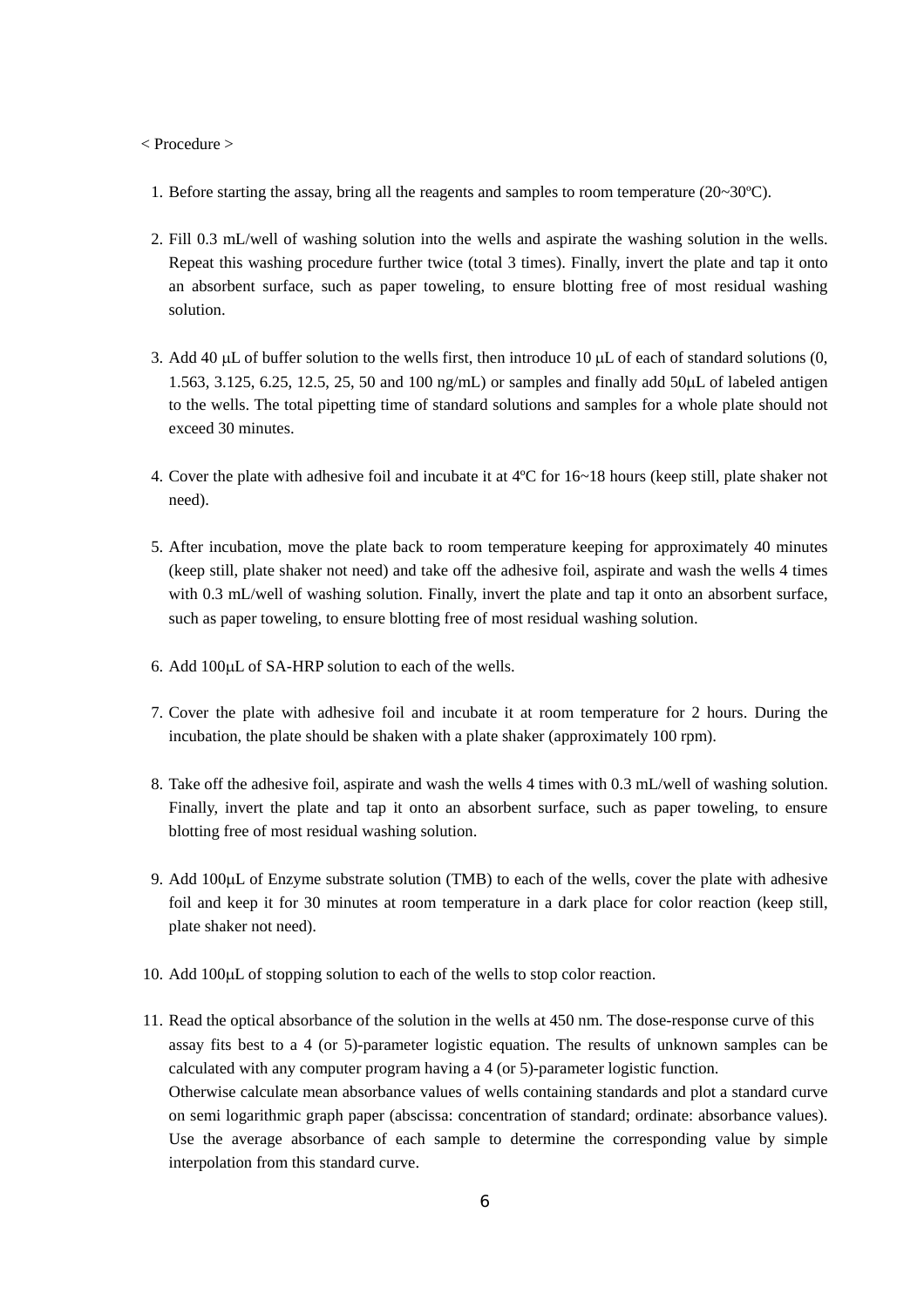< Procedure >

- 1. Before starting the assay, bring all the reagents and samples to room temperature  $(20~30^{\circ}\text{C})$ .
- 2. Fill 0.3 mL/well of washing solution into the wells and aspirate the washing solution in the wells. Repeat this washing procedure further twice (total 3 times). Finally, invert the plate and tap it onto an absorbent surface, such as paper toweling, to ensure blotting free of most residual washing solution.
- 3. Add 40  $\mu$ L of buffer solution to the wells first, then introduce 10  $\mu$ L of each of standard solutions (0, 1.563, 3.125, 6.25, 12.5, 25, 50 and 100 ng/mL) or samples and finally add 50µL of labeled antigen to the wells. The total pipetting time of standard solutions and samples for a whole plate should not exceed 30 minutes.
- 4. Cover the plate with adhesive foil and incubate it at 4ºC for 16~18 hours (keep still, plate shaker not need).
- 5. After incubation, move the plate back to room temperature keeping for approximately 40 minutes (keep still, plate shaker not need) and take off the adhesive foil, aspirate and wash the wells 4 times with 0.3 mL/well of washing solution. Finally, invert the plate and tap it onto an absorbent surface, such as paper toweling, to ensure blotting free of most residual washing solution.
- 6. Add 100µL of SA-HRP solution to each of the wells.
- 7. Cover the plate with adhesive foil and incubate it at room temperature for 2 hours. During the incubation, the plate should be shaken with a plate shaker (approximately 100 rpm).
- 8. Take off the adhesive foil, aspirate and wash the wells 4 times with 0.3 mL/well of washing solution. Finally, invert the plate and tap it onto an absorbent surface, such as paper toweling, to ensure blotting free of most residual washing solution.
- 9. Add 100µL of Enzyme substrate solution (TMB) to each of the wells, cover the plate with adhesive foil and keep it for 30 minutes at room temperature in a dark place for color reaction (keep still, plate shaker not need).
- 10. Add 100µL of stopping solution to each of the wells to stop color reaction.
- 11. Read the optical absorbance of the solution in the wells at 450 nm. The dose-response curve of this assay fits best to a 4 (or 5)-parameter logistic equation. The results of unknown samples can be calculated with any computer program having a 4 (or 5)-parameter logistic function. Otherwise calculate mean absorbance values of wells containing standards and plot a standard curve on semi logarithmic graph paper (abscissa: concentration of standard; ordinate: absorbance values). Use the average absorbance of each sample to determine the corresponding value by simple interpolation from this standard curve.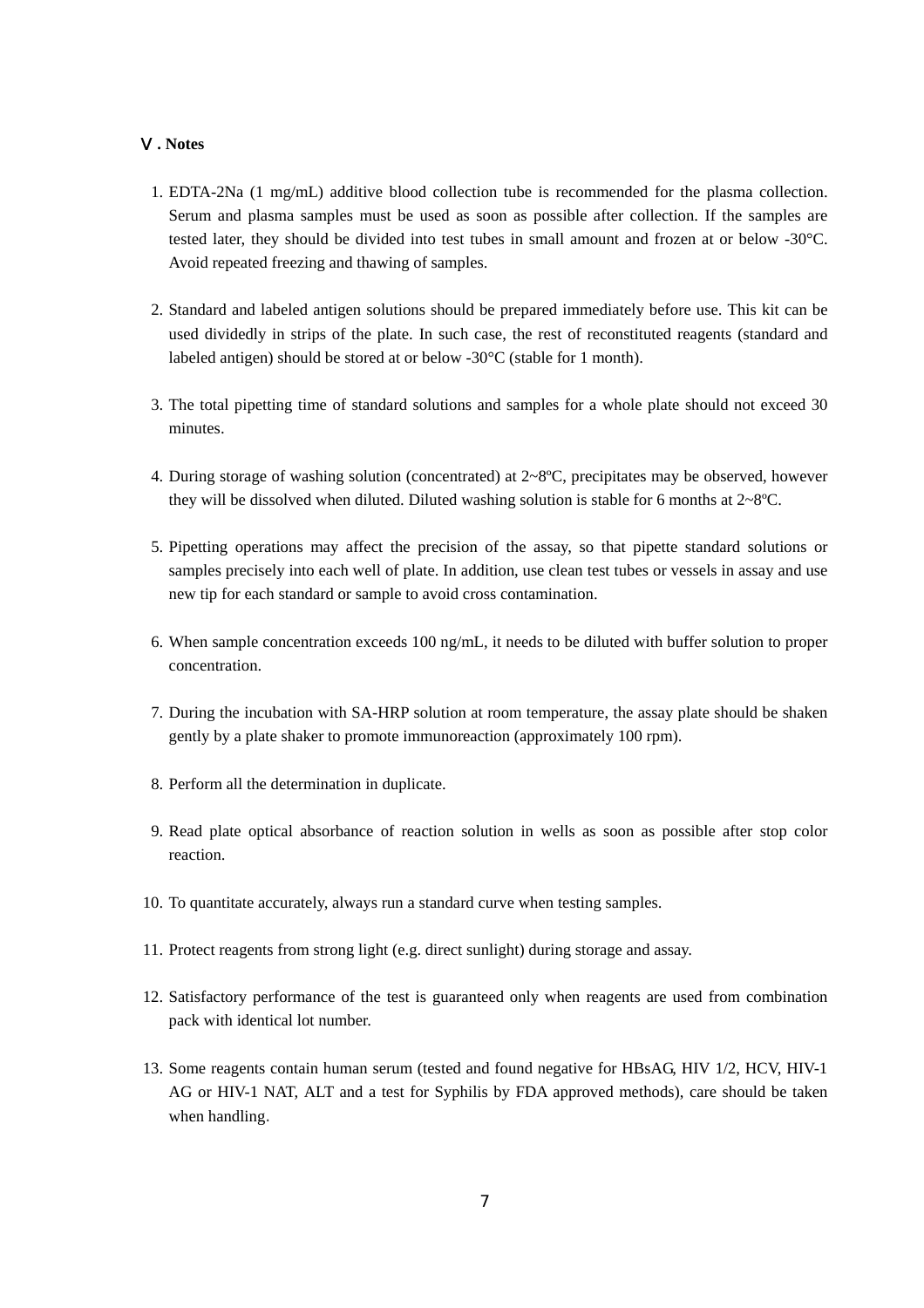#### Ⅴ**. Notes**

- 1. EDTA-2Na (1 mg/mL) additive blood collection tube is recommended for the plasma collection. Serum and plasma samples must be used as soon as possible after collection. If the samples are tested later, they should be divided into test tubes in small amount and frozen at or below -30°C. Avoid repeated freezing and thawing of samples.
- 2. Standard and labeled antigen solutions should be prepared immediately before use. This kit can be used dividedly in strips of the plate. In such case, the rest of reconstituted reagents (standard and labeled antigen) should be stored at or below -30°C (stable for 1 month).
- 3. The total pipetting time of standard solutions and samples for a whole plate should not exceed 30 minutes.
- 4. During storage of washing solution (concentrated) at 2~8ºC, precipitates may be observed, however they will be dissolved when diluted. Diluted washing solution is stable for 6 months at 2~8ºC.
- 5. Pipetting operations may affect the precision of the assay, so that pipette standard solutions or samples precisely into each well of plate. In addition, use clean test tubes or vessels in assay and use new tip for each standard or sample to avoid cross contamination.
- 6. When sample concentration exceeds 100 ng/mL, it needs to be diluted with buffer solution to proper concentration.
- 7. During the incubation with SA-HRP solution at room temperature, the assay plate should be shaken gently by a plate shaker to promote immunoreaction (approximately 100 rpm).
- 8. Perform all the determination in duplicate.
- 9. Read plate optical absorbance of reaction solution in wells as soon as possible after stop color reaction.
- 10. To quantitate accurately, always run a standard curve when testing samples.
- 11. Protect reagents from strong light (e.g. direct sunlight) during storage and assay.
- 12. Satisfactory performance of the test is guaranteed only when reagents are used from combination pack with identical lot number.
- 13. Some reagents contain human serum (tested and found negative for HBsAG, HIV 1/2, HCV, HIV-1 AG or HIV-1 NAT, ALT and a test for Syphilis by FDA approved methods), care should be taken when handling.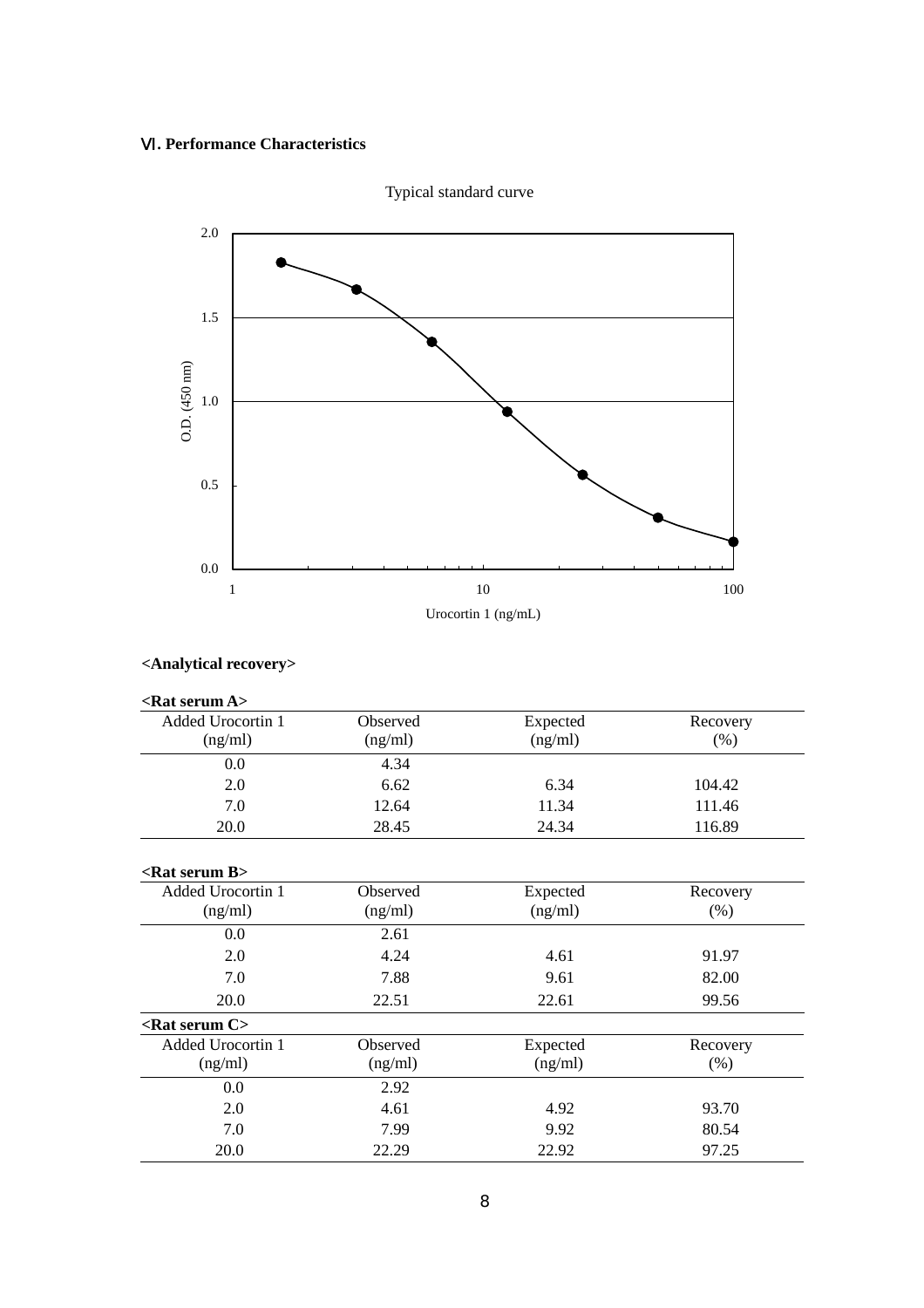# Ⅵ**. Performance Characteristics**



**<Analytical recovery>**

| <rat a="" serum=""></rat>  |                 |          |          |
|----------------------------|-----------------|----------|----------|
| <b>Added Urocortin 1</b>   | <b>Observed</b> | Expected | Recovery |
| (ng/ml)                    | (ng/ml)         | (ng/ml)  | (% )     |
| 0.0                        | 4.34            |          |          |
| 2.0                        | 6.62            | 6.34     | 104.42   |
| 7.0                        | 12.64           | 11.34    | 111.46   |
| 20.0                       | 28.45           | 24.34    | 116.89   |
| $\langle$ Rat serum B $>$  |                 |          |          |
| <b>Added Urocortin 1</b>   | Observed        | Expected | Recovery |
| (ng/ml)                    | (ng/ml)         | (ng/ml)  | (% )     |
| 0.0                        | 2.61            |          |          |
| 2.0                        | 4.24            | 4.61     | 91.97    |
| 7.0                        | 7.88            | 9.61     | 82.00    |
| 20.0                       | 22.51           | 22.61    | 99.56    |
| $\epsilon$ Rat serum C $>$ |                 |          |          |
| <b>Added Urocortin 1</b>   | Observed        | Expected | Recovery |
| (ng/ml)                    | (ng/ml)         | (ng/ml)  | (% )     |
| 0.0                        | 2.92            |          |          |
| 2.0                        | 4.61            | 4.92     | 93.70    |
| 7.0                        | 7.99            | 9.92     | 80.54    |
| 20.0                       | 22.29           | 22.92    | 97.25    |

Typical standard curve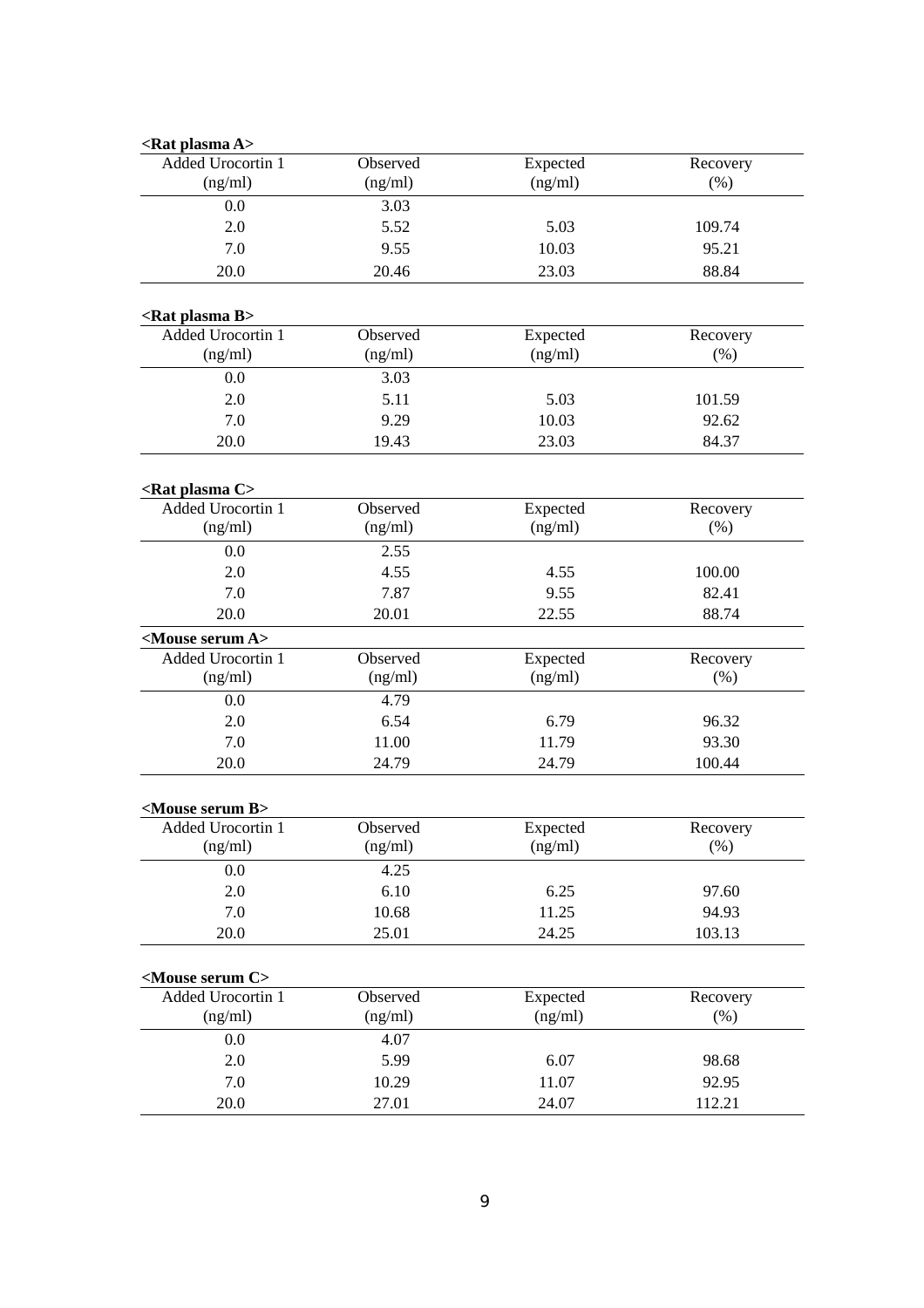| <rat a="" plasma=""></rat>    |          |          |          |
|-------------------------------|----------|----------|----------|
| Added Urocortin 1             | Observed | Expected | Recovery |
| (ng/ml)                       | (ng/ml)  | (ng/ml)  | $(\% )$  |
| 0.0                           | 3.03     |          |          |
| 2.0                           | 5.52     | 5.03     | 109.74   |
| 7.0                           | 9.55     | 10.03    | 95.21    |
| 20.0                          | 20.46    | 23.03    | 88.84    |
| <rat b="" plasma=""></rat>    |          |          |          |
| Added Urocortin 1             | Observed | Expected | Recovery |
| (ng/ml)                       | (ng/ml)  | (ng/ml)  | (% )     |
| 0.0                           | 3.03     |          |          |
| 2.0                           | 5.11     | 5.03     | 101.59   |
| 7.0                           | 9.29     | 10.03    | 92.62    |
| 20.0                          | 19.43    | 23.03    | 84.37    |
| <rat c="" plasma=""></rat>    |          |          |          |
| Added Urocortin 1             | Observed | Expected | Recovery |
| (ng/ml)                       | (ng/ml)  | (ng/ml)  | (% )     |
| 0.0                           | 2.55     |          |          |
| 2.0                           | 4.55     | 4.55     | 100.00   |
| 7.0                           | 7.87     | 9.55     | 82.41    |
| 20.0                          | 20.01    | 22.55    | 88.74    |
| <mouse a="" serum=""></mouse> |          |          |          |
| Added Urocortin 1             | Observed | Expected | Recovery |
| (ng/ml)                       | (ng/ml)  | (ng/ml)  | (% )     |
| 0.0                           | 4.79     |          |          |
| 2.0                           | 6.54     | 6.79     | 96.32    |
| 7.0                           | 11.00    | 11.79    | 93.30    |
| 20.0                          | 24.79    | 24.79    | 100.44   |
|                               |          |          |          |
| <mouse b="" serum=""></mouse> |          |          |          |
| Added Urocortin 1             | Observed | Expected | Recovery |
| (ng/ml)                       | (ng/ml)  | (ng/ml)  | (% )     |
| 0.0                           | 4.25     |          |          |
| 2.0                           | 6.10     | 6.25     | 97.60    |
| 7.0                           | 10.68    | 11.25    | 94.93    |
| 20.0                          | 25.01    | 24.25    | 103.13   |
| <mouse c="" serum=""></mouse> |          |          |          |
| Added Urocortin 1             | Observed | Expected | Recovery |
| (ng/ml)                       | (ng/ml)  | (ng/ml)  | (% )     |
| 0.0                           | 4.07     |          |          |
| 2.0                           | 5.99     | 6.07     | 98.68    |
| 7.0                           | 10.29    | 11.07    | 92.95    |
| 20.0                          | 27.01    | 24.07    | 112.21   |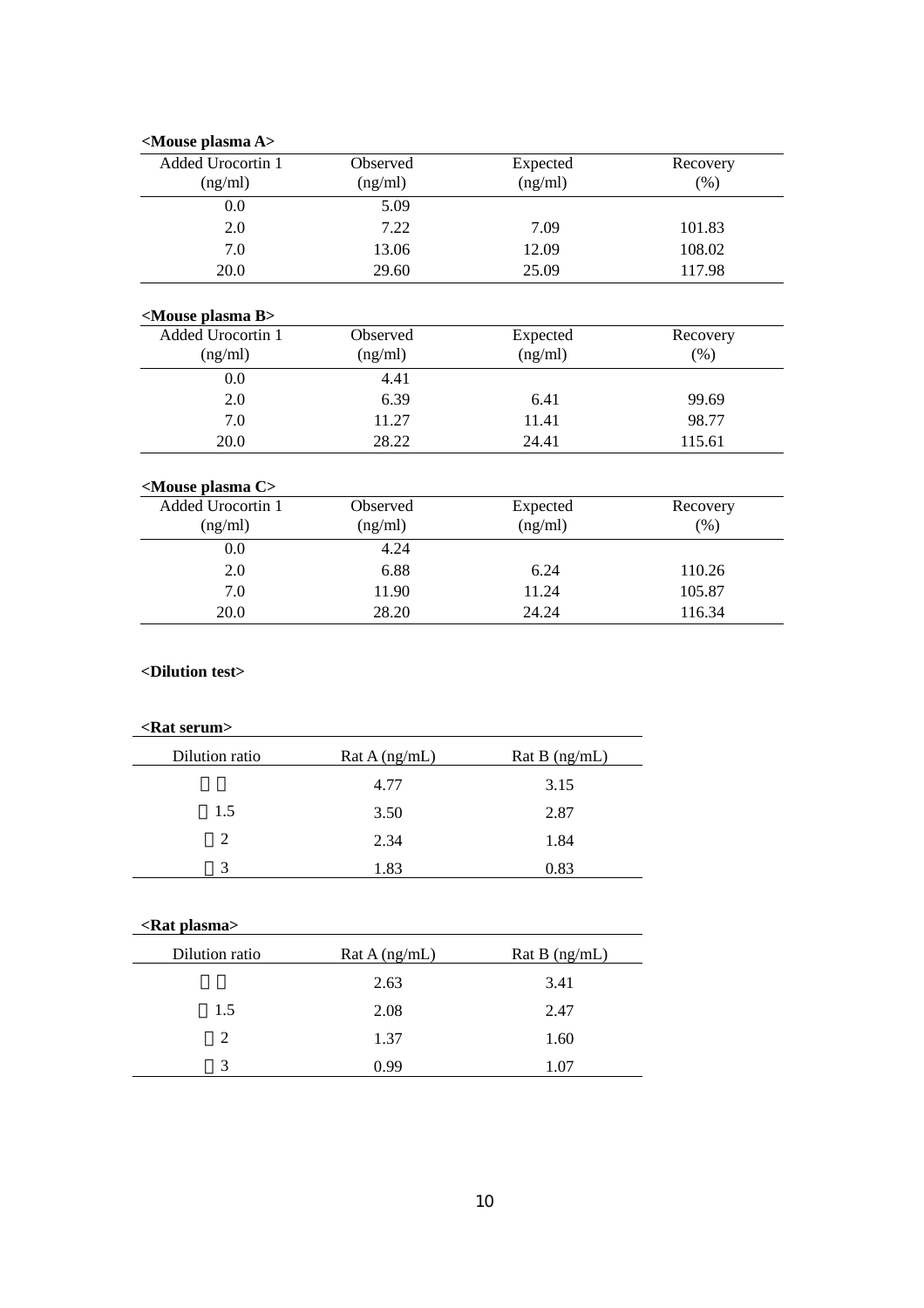| <mouse a="" plasma=""></mouse> |                            |                     |                  |  |
|--------------------------------|----------------------------|---------------------|------------------|--|
| Added Urocortin 1<br>(ng/ml)   | <b>Observed</b><br>(ng/ml) | Expected<br>(ng/ml) | Recovery<br>(% ) |  |
| 0.0                            | 5.09                       |                     |                  |  |
| 2.0                            | 7.22                       | 7.09                | 101.83           |  |
| 7.0                            | 13.06                      | 12.09               | 108.02           |  |
| <b>20.0</b>                    | 29.60                      | 25.09               | 117.98           |  |

# **<Mouse plasma B>**

| Observed | Expected | Recovery |
|----------|----------|----------|
| (ng/ml)  | (ng/ml)  | (% )     |
| 4.41     |          |          |
| 6.39     | 6.41     | 99.69    |
| 11.27    | 11.41    | 98.77    |
| 28.22    | 24.41    | 115.61   |
|          |          |          |

# **<Mouse plasma C>**

| Added Urocortin 1<br>(ng/ml) | <b>Observed</b><br>(ng/ml) | Expected<br>(ng/ml) | Recovery<br>(%) |
|------------------------------|----------------------------|---------------------|-----------------|
| 0.0                          | 4.24                       |                     |                 |
| 2.0                          | 6.88                       | 6.24                | 110.26          |
| 7.0                          | 11.90                      | 11.24               | 105.87          |
| 20.0                         | 28.20                      | 24.24               | 116.34          |

# **<Dilution test>**

# **<Rat serum>**

| Dilution ratio | Rat A (ng/mL) | Rat B $(ng/mL)$ |
|----------------|---------------|-----------------|
|                | 4.77          | 3.15            |
| 1.5            | 3.50          | 2.87            |
| 2              | 2.34          | 1.84            |
| 3              | 1.83          | 0.83            |

# **<Rat plasma>**

| Dilution ratio | Rat A (ng/mL) | Rat B (ng/mL) |
|----------------|---------------|---------------|
|                | 2.63          | 3.41          |
| 1.5            | 2.08          | 2.47          |
| $\mathcal{P}$  | 1.37          | 1.60          |
| 3              | 0.99          | 1.07          |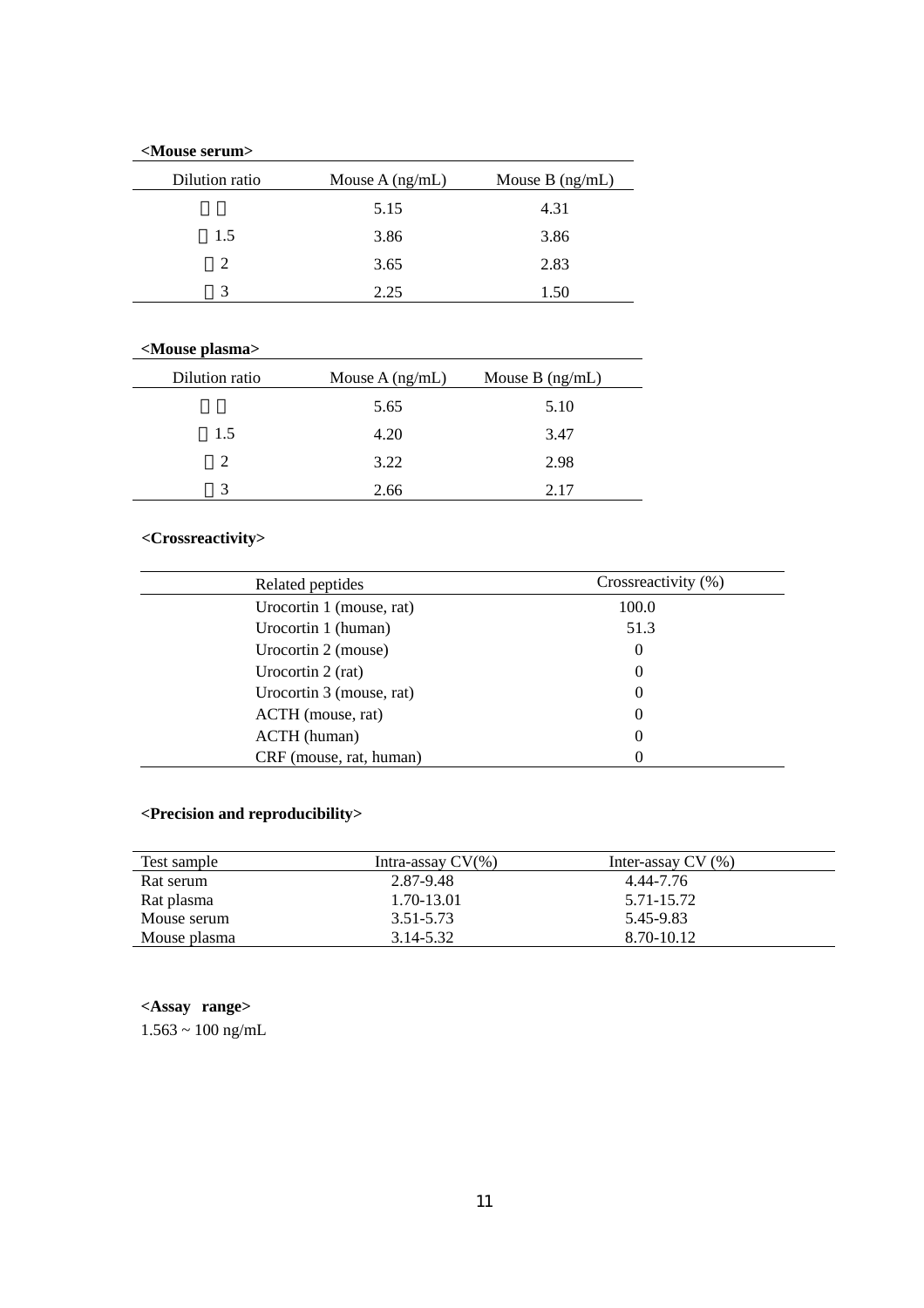# **<Mouse serum>**

| Dilution ratio | Mouse $A$ (ng/mL) | Mouse $B$ (ng/mL) |
|----------------|-------------------|-------------------|
|                | 5.15              | 4.31              |
| 1.5            | 3.86              | 3.86              |
| 2              | 3.65              | 2.83              |
| 3              | 2.25              | 1.50              |
|                |                   |                   |

# **<Mouse plasma>**

| Dilution ratio | Mouse $A$ (ng/mL) | Mouse $B$ (ng/mL) |
|----------------|-------------------|-------------------|
|                | 5.65              | 5.10              |
| 1.5            | 4.20              | 3.47              |
|                | 3.22              | 2.98              |
| 3              | 2.66              | 2.17              |

# **<Crossreactivity>**

| Related peptides         | Crossreactivity (%) |
|--------------------------|---------------------|
| Urocortin 1 (mouse, rat) | 100.0               |
| Urocortin 1 (human)      | 51.3                |
| Urocortin 2 (mouse)      | 0                   |
| Urocortin 2 (rat)        | 0                   |
| Urocortin 3 (mouse, rat) | 0                   |
| ACTH (mouse, rat)        | 0                   |
| ACTH (human)             | 0                   |
| CRF (mouse, rat, human)  |                     |

# **<Precision and reproducibility>**

| Test sample  | Intra-assay $CV(\% )$ | Inter-assay $CV(%)$ |  |
|--------------|-----------------------|---------------------|--|
| Rat serum    | 2.87-9.48             | 4.44-7.76           |  |
| Rat plasma   | 1.70-13.01            | 5.71-15.72          |  |
| Mouse serum  | 3.51-5.73             | 5.45-9.83           |  |
| Mouse plasma | 3.14-5.32             | 8.70-10.12          |  |

# **<Assay range>**

 $1.563 \sim 100 \text{ ng/mL}$